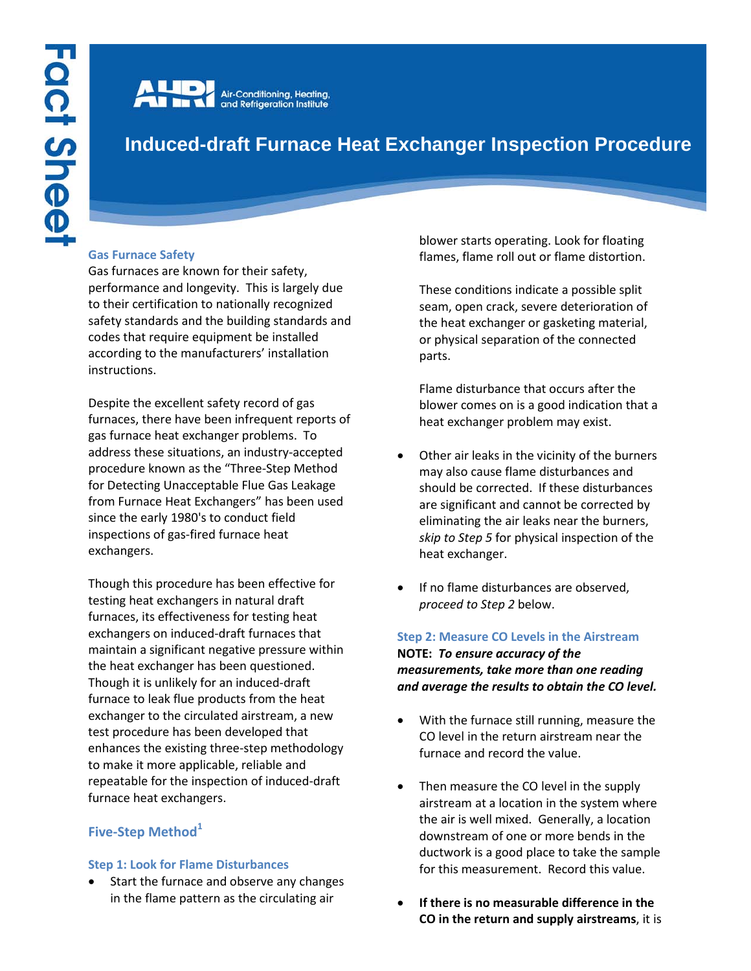Air-Conditioning, Heating,<br>and Refrigeration Institute

# **Induced-draft Furnace Heat Exchanger Inspection Procedure**

### **Gas Furnace Safety**

Gas furnaces are known for their safety, performance and longevity. This is largely due to their certification to nationally recognized safety standards and the building standards and codes that require equipment be installed according to the manufacturers' installation instructions.

Despite the excellent safety record of gas furnaces, there have been infrequent reports of gas furnace heat exchanger problems. To address these situations, an industry-accepted procedure known as the "Three-Step Method for Detecting Unacceptable Flue Gas Leakage from Furnace Heat Exchangers" has been used since the early 1980's to conduct field inspections of gas-fired furnace heat exchangers.

Though this procedure has been effective for testing heat exchangers in natural draft furnaces, its effectiveness for testing heat exchangers on induced-draft furnaces that maintain a significant negative pressure within the heat exchanger has been questioned. Though it is unlikely for an induced-draft furnace to leak flue products from the heat exchanger to the circulated airstream, a new test procedure has been developed that enhances the existing three-step methodology to make it more applicable, reliable and repeatable for the inspection of induced-draft furnace heat exchangers.

## **Five-Step Method<sup>1</sup>**

#### **Step 1: Look for Flame Disturbances**

Start the furnace and observe any changes in the flame pattern as the circulating air

blower starts operating. Look for floating flames, flame roll out or flame distortion.

These conditions indicate a possible split seam, open crack, severe deterioration of the heat exchanger or gasketing material, or physical separation of the connected parts.

Flame disturbance that occurs after the blower comes on is a good indication that a heat exchanger problem may exist.

- Other air leaks in the vicinity of the burners may also cause flame disturbances and should be corrected. If these disturbances are significant and cannot be corrected by eliminating the air leaks near the burners, *skip to Step 5* for physical inspection of the heat exchanger.
- If no flame disturbances are observed, *proceed to Step 2* below.

**Step 2: Measure CO Levels in the Airstream NOTE:** *To ensure accuracy of the measurements, take more than one reading and average the results to obtain the CO level.*

- With the furnace still running, measure the CO level in the return airstream near the furnace and record the value.
- Then measure the CO level in the supply airstream at a location in the system where the air is well mixed. Generally, a location downstream of one or more bends in the ductwork is a good place to take the sample for this measurement. Record this value.
- **If there is no measurable difference in the CO in the return and supply airstreams**, it is